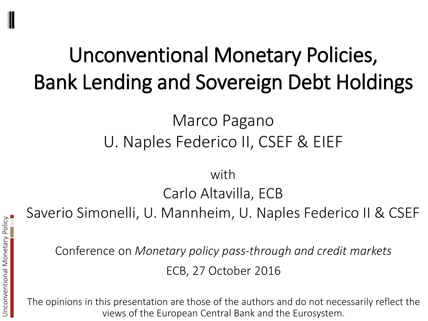## Unconventional Monetary Policies, Bank Lending and Sovereign Debt Holdings

### Marco Pagano U. Naples Federico II, CSEF & EIEF

### with Carlo Altavilla, ECB

Saverio Simonelli, U. Mannheim, U. Naples Federico II & CSEF

Conference on *Monetary policy pass-through and credit markets* ECB, 27 October 2016

The opinions in this presentation are those of the authors and do not necessarily reflect the views of the European Central Bank and the Eurosystem.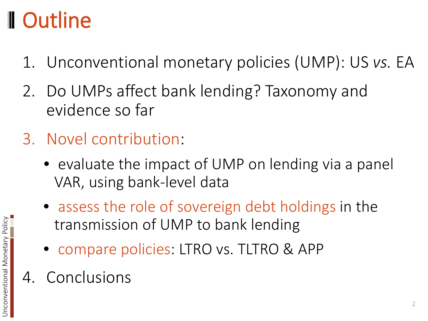## Outline

- 1. Unconventional monetary policies (UMP): US *vs.* EA
- 2. Do UMPs affect bank lending? Taxonomy and evidence so far
- 3. Novel contribution:
	- evaluate the impact of UMP on lending via a panel VAR, using bank-level data
	- assess the role of sovereign debt holdings in the transmission of UMP to bank lending
	- compare policies: LTRO vs. TLTRO & APP
- 4. Conclusions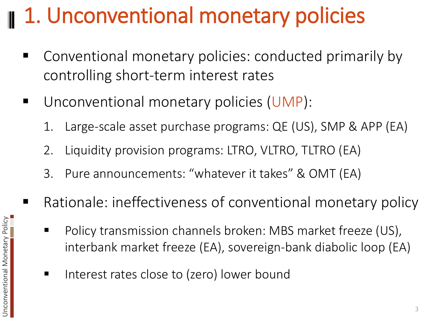## 1. Unconventional monetary policies

- Conventional monetary policies: conducted primarily by controlling short-term interest rates
- **Unconventional monetary policies (UMP):** 
	- 1. Large-scale asset purchase programs: QE (US), SMP & APP (EA)
	- 2. Liquidity provision programs: LTRO, VLTRO, TLTRO (EA)
	- 3. Pure announcements: "whatever it takes" & OMT (EA)
- Rationale: ineffectiveness of conventional monetary policy
	- Policy transmission channels broken: MBS market freeze (US), interbank market freeze (EA), sovereign-bank diabolic loop (EA)
	- Interest rates close to (zero) lower bound

Unconventional Monetary Policy

Unconventional Monetary Policy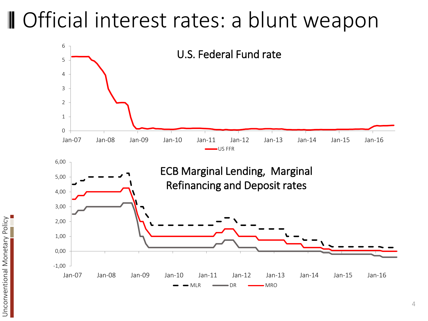### **II** Official interest rates: a blunt weapon



Unconventional Monetary Policy Unconventional Monetary Policy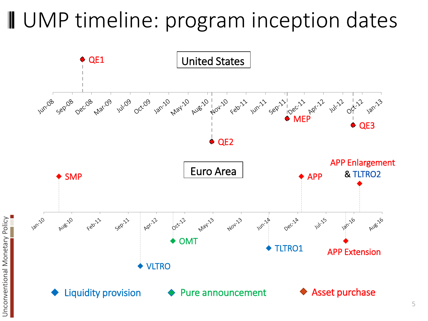### **II** UMP timeline: program inception dates

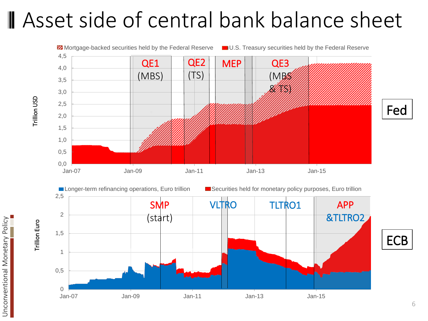### **Asset side of central bank balance sheet**



Trillion USD Trillion USD

Unconventional Monetary Policy Unconventional Monetary Policy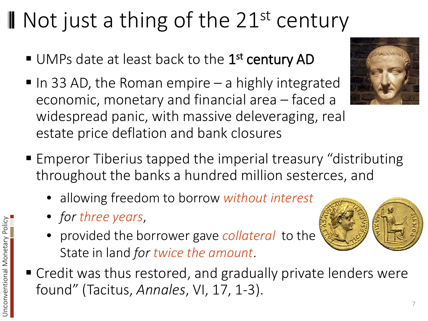## II Not just a thing of the 21<sup>st</sup> century

- UMPs date at least back to the 1<sup>st</sup> century AD
- $\blacksquare$  In 33 AD, the Roman empire  $-$  a highly integrated economic, monetary and financial area – faced a widespread panic, with massive deleveraging, real estate price deflation and bank closures
- Emperor Tiberius tapped the imperial treasury "distributing throughout the banks a hundred million sesterces, and
	- allowing freedom to borrow *without interest*
	- *for three years*,
	- provided the borrower gave *collateral* to the State in land *for twice the amount*.
- Credit was thus restored, and gradually private lenders were found" (Tacitus, *Annales*, VI, 17, 1-3).



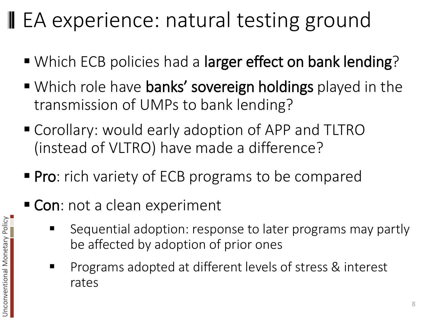## EA experience: natural testing ground

- Which ECB policies had a larger effect on bank lending?
- Which role have banks' sovereign holdings played in the transmission of UMPs to bank lending?
- Corollary: would early adoption of APP and TLTRO (instead of VLTRO) have made a difference?
- **Pro:** rich variety of ECB programs to be compared
- Con: not a clean experiment
	- Sequential adoption: response to later programs may partly be affected by adoption of prior ones
	- Programs adopted at different levels of stress & interest rates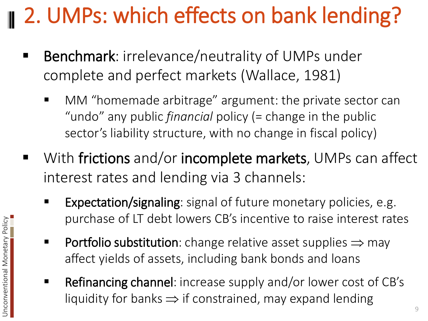# 2. UMPs: which effects on bank lending?

- Benchmark: irrelevance/neutrality of UMPs under complete and perfect markets (Wallace, 1981)
	- MM "homemade arbitrage" argument: the private sector can "undo" any public *financial* policy (= change in the public sector's liability structure, with no change in fiscal policy)
- With frictions and/or incomplete markets, UMPs can affect interest rates and lending via 3 channels:
	- Expectation/signaling: signal of future monetary policies, e.g. purchase of LT debt lowers CB's incentive to raise interest rates
	- **Portfolio substitution**: change relative asset supplies  $\Rightarrow$  may affect yields of assets, including bank bonds and loans
	- Refinancing channel: increase supply and/or lower cost of CB's liquidity for banks  $\Rightarrow$  if constrained, may expand lending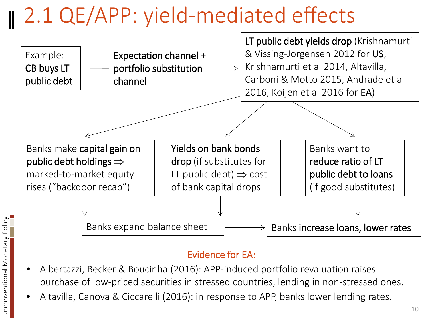## 2.1 QE/APP: yield-mediated effects



#### Evidence for EA:

- Albertazzi, Becker & Boucinha (2016): APP-induced portfolio revaluation raises purchase of low-priced securities in stressed countries, lending in non-stressed ones.
- Altavilla, Canova & Ciccarelli (2016): in response to APP, banks lower lending rates.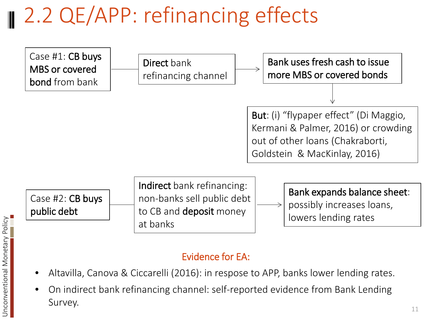## 2.2 QE/APP: refinancing effects



### Evidence for EA:

- Altavilla, Canova & Ciccarelli (2016): in respose to APP, banks lower lending rates.
- On indirect bank refinancing channel: self-reported evidence from Bank Lending Survey.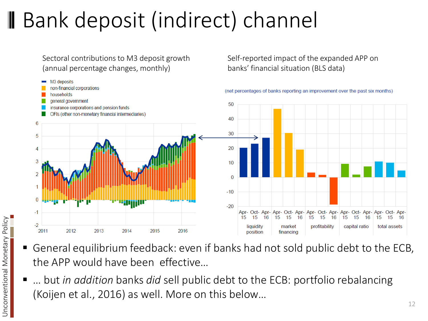## Bank deposit (indirect) channel

Sectoral contributions to M3 deposit growth (annual percentage changes, monthly)



Self-reported impact of the expanded APP on

banks' financial situation (BLS data)

- General equilibrium feedback: even if banks had not sold public debt to the ECB, the APP would have been effective…
- … but *in addition* banks *did* sell public debt to the ECB: portfolio rebalancing (Koijen et al., 2016) as well. More on this below…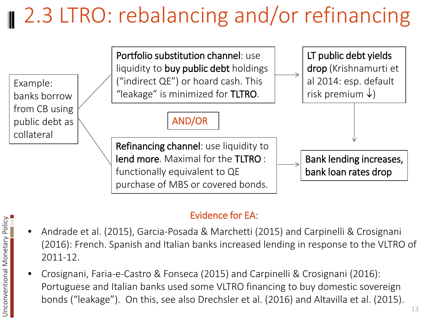## 2.3 LTRO: rebalancing and/or refinancing



### Evidence for EA:

- Andrade et al. (2015), Garcia-Posada & Marchetti (2015) and Carpinelli & Crosignani (2016): French. Spanish and Italian banks increased lending in response to the VLTRO of 2011-12.
- Crosignani, Faria-e-Castro & Fonseca (2015) and Carpinelli & Crosignani (2016): Portuguese and Italian banks used some VLTRO financing to buy domestic sovereign bonds ("leakage"). On this, see also Drechsler et al. (2016) and Altavilla et al. (2015).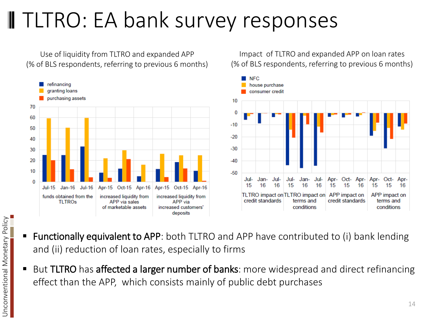## TLTRO: EA bank survey responses

Use of liquidity from TLTRO and expanded APP (% of BLS respondents, referring to previous 6 months)



Impact of TLTRO and expanded APP on loan rates (% of BLS respondents, referring to previous 6 months)



- Functionally equivalent to APP: both TLTRO and APP have contributed to (i) bank lending and (ii) reduction of loan rates, especially to firms
- But TLTRO has affected a larger number of banks: more widespread and direct refinancing effect than the APP, which consists mainly of public debt purchases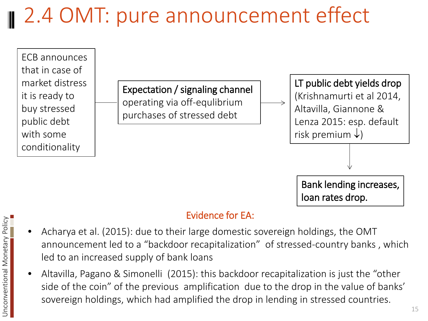## 2.4 OMT: pure announcement effect



#### Evidence for EA:

- Acharya et al. (2015): due to their large domestic sovereign holdings, the OMT announcement led to a "backdoor recapitalization" of stressed-country banks , which led to an increased supply of bank loans
- Altavilla, Pagano & Simonelli (2015): this backdoor recapitalization is just the "other side of the coin" of the previous amplification due to the drop in the value of banks' sovereign holdings, which had amplified the drop in lending in stressed countries.

15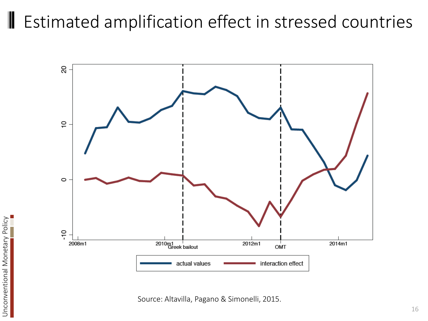#### Estimated amplification effect in stressed countries



Source: Altavilla, Pagano & Simonelli, 2015.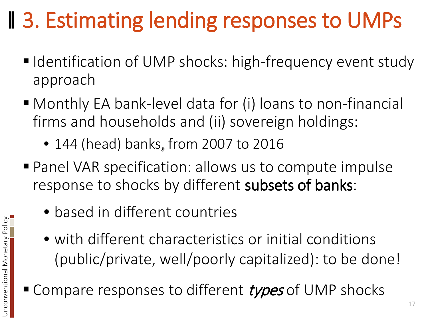## **13. Estimating lending responses to UMPs**

- Identification of UMP shocks: high-frequency event study approach
- Monthly EA bank-level data for (i) loans to non-financial firms and households and (ii) sovereign holdings:
	- 144 (head) banks, from 2007 to 2016
- Panel VAR specification: allows us to compute impulse response to shocks by different subsets of banks:
	- based in different countries
	- with different characteristics or initial conditions (public/private, well/poorly capitalized): to be done!
- Compare responses to different types of UMP shocks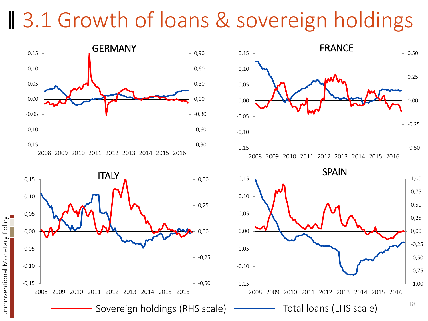### **B** 3.1 Growth of loans & sovereign holdings

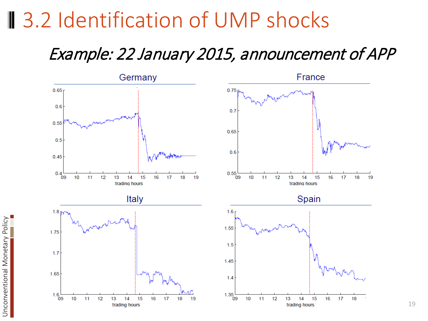### **3.2 Identification of UMP shocks**

### Example: 22 January 2015, announcement of APP

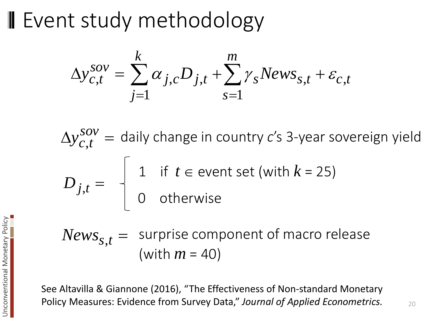**II** Event study methodology

$$
\Delta y_{c,t}^{sov} = \sum_{j=1}^{k} \alpha_{j,c} D_{j,t} + \sum_{s=1}^{m} \gamma_s News_{s,t} + \varepsilon_{c,t}
$$

 $\frac{\delta \Omega V}{\delta t}$  = daily change in country *c*'s 3-year sovereign yield 1 if  $t \in$  event set (with  $k = 25$ ) 0 otherwise ,  $\Delta y_{c,t}^{sov} =$  $D_{j,t}$  =

surprise component of macro release (with *m* = 40)  $News_{s,t} =$ 

See Altavilla & Giannone (2016), "The Effectiveness of Non-standard Monetary Policy Measures: Evidence from Survey Data," *Journal of Applied Econometrics.*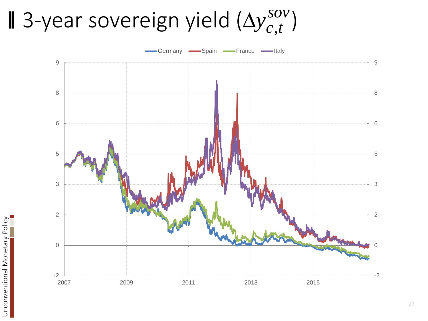### 3-year sovereign yield  $(\Delta y_{c,t}^{sov})$  $\Delta y_{c,t}^{sov}$



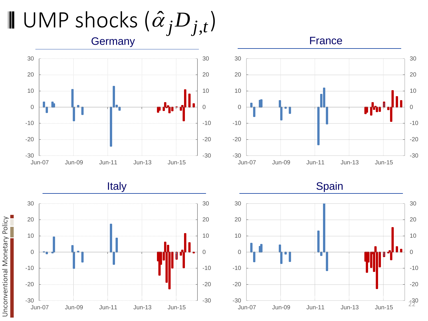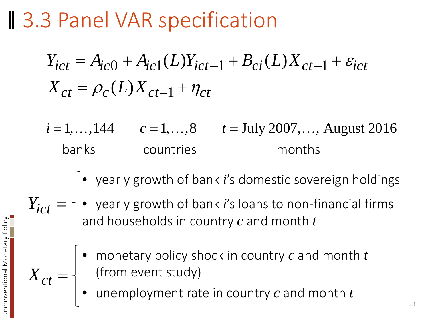**3.3 Panel VAR specification** 

$$
Y_{ict} = A_{ic0} + A_{ic1}(L)Y_{ict-1} + B_{ci}(L)X_{ct-1} + \varepsilon_{ict}
$$
  

$$
X_{ct} = \rho_c(L)X_{ct-1} + \eta_{ct}
$$

- $i = 1, ..., 144$   $c = 1, ..., 8$   $t =$  July 2007, ..., August 2016 banks countries months
	- yearly growth of bank *i*'s domestic sovereign holdings
- yearly growth of bank *i*'s loans to non-financial firms and households in country *c* and month *t*  $Y_{ict} =$ 
	- monetary policy shock in country *c* and month *t* (from event study)
	- unemployment rate in country *c* and month *t*

 $X_{ct} =$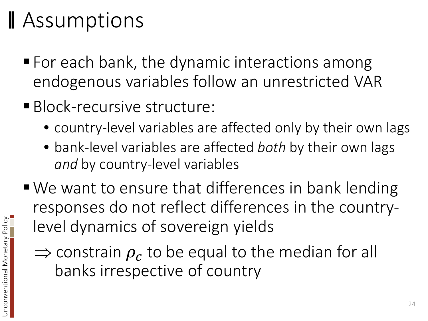## **Assumptions**

- For each bank, the dynamic interactions among endogenous variables follow an unrestricted VAR
- **Block-recursive structure:** 
	- country-level variables are affected only by their own lags
	- bank-level variables are affected *both* by their own lags *and* by country-level variables
- We want to ensure that differences in bank lending responses do not reflect differences in the countrylevel dynamics of sovereign yields
	- $\Rightarrow$  constrain  $\rho_c$  to be equal to the median for all banks irrespective of country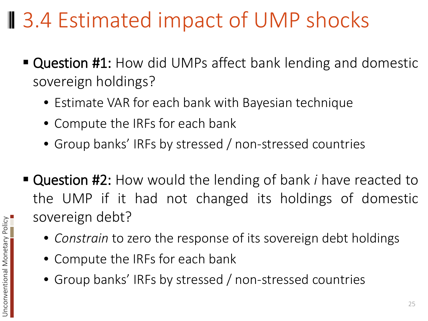### **Ⅱ** 3.4 Estimated impact of UMP shocks

- **Question #1:** How did UMPs affect bank lending and domestic sovereign holdings?
	- Estimate VAR for each bank with Bayesian technique
	- Compute the IRFs for each bank
	- Group banks' IRFs by stressed / non-stressed countries
- Question #2: How would the lending of bank *i* have reacted to the UMP if it had not changed its holdings of domestic sovereign debt?
	- *Constrain* to zero the response of its sovereign debt holdings
	- Compute the IRFs for each bank
	- Group banks' IRFs by stressed / non-stressed countries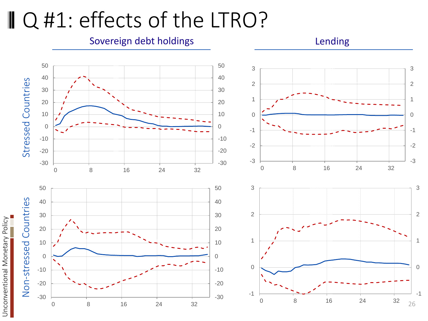### ■ Q #1: effects of the LTRO?

#### Sovereign debt holdings and a settlement of the solution of the lending

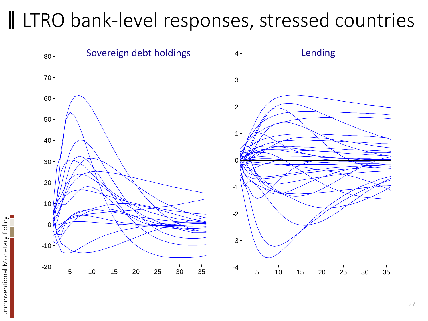### I LTRO bank-level responses, stressed countries

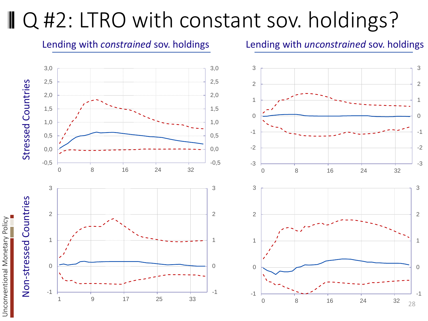## ■ Q #2: LTRO with constant sov. holdings?

#### Lending with *unconstrained* sov. holdings 3,0 3,0 3 Stressed Countries 2,5 2,5 Stressed Countries 2 2,0 2,0 1 1,5 1,5 0 1,0 1,0 -1 0,5 0,5 -2 0,0 0,0 -0,5 -0,5 -3 0 8 16 24 32 0 8 16 24 32 3 3 3 Non-stressed Countries Non-stressed Countries 2 2

-1

0

1



-3

3

-2

-1

0

1

2

3

#### Lending with *constrained* sov. holdings

1 9 17 25 33



-1

0

1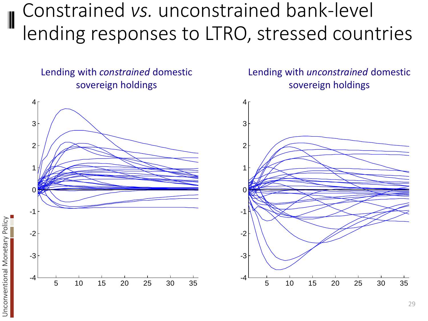### Constrained *vs.* unconstrained bank-level lending responses to LTRO, stressed countries

Lending with *constrained* domestic sovereign holdings



Unconventional Monetary Policy

Unconventional Monetary Policy

Lending with *unconstrained* domestic sovereign holdings



29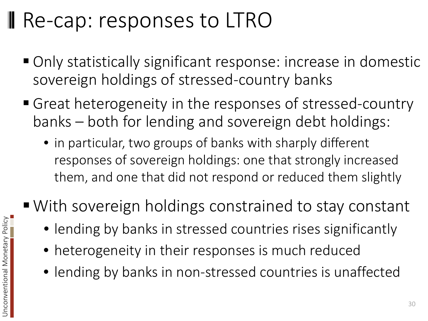## **Re-cap: responses to LTRO**

- Only statistically significant response: increase in domestic sovereign holdings of stressed-country banks
- Great heterogeneity in the responses of stressed-country banks – both for lending and sovereign debt holdings:
	- in particular, two groups of banks with sharply different responses of sovereign holdings: one that strongly increased them, and one that did not respond or reduced them slightly
- With sovereign holdings constrained to stay constant
	- lending by banks in stressed countries rises significantly
	- heterogeneity in their responses is much reduced
	- lending by banks in non-stressed countries is unaffected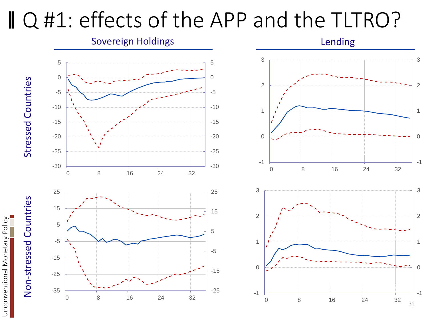### ■ Q #1: effects of the APP and the TLTRO?

Sovereign Holdings **Lending Lending** 3 5 5 0 0 Stressed Countries Stressed Countries 2 -5 -5 -10 -10 1 -15 -15 -20 -20 0 -25 -25 -1 -30 -30 0 8 16 24 32 3 25 25 Non-stressed Countries Non-stressed Countries 15 15 2 5 5 -5 1 -5 -15 0 -15 -25 -35 -25 -1

0 8 16 24 32

Unconventional Monetary Policy

Unconventional Monetary Policy



0 8 16 24 32

31

-1

3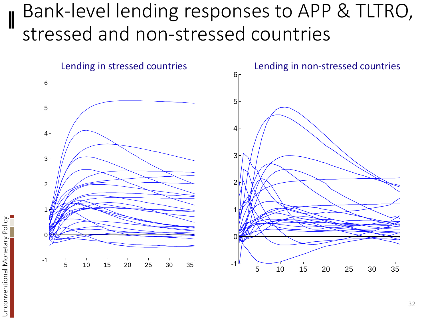### Bank-level lending responses to APP & TLTRO, stressed and non-stressed countries



Unconventional Monetary Policy

Unconventional Monetary Policy

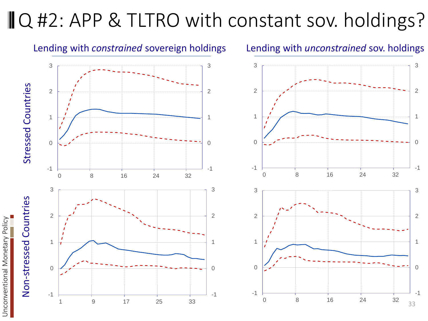### **ⅡQ #2: APP & TLTRO with constant sov. holdings?**



Unconventional Monetary Policy

Unconventional Monetary Policy

#### Lending with *unconstrained* sov. holdings

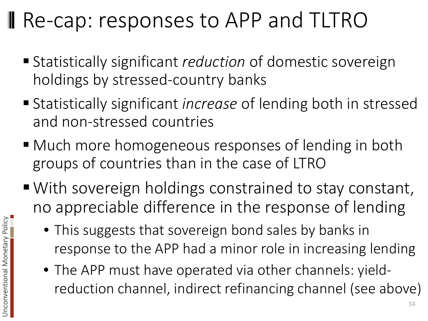## **Re-cap: responses to APP and TLTRO**

- Statistically significant *reduction* of domestic sovereign holdings by stressed-country banks
- Statistically significant *increase* of lending both in stressed and non-stressed countries
- Much more homogeneous responses of lending in both groups of countries than in the case of LTRO
- With sovereign holdings constrained to stay constant, no appreciable difference in the response of lending
	- This suggests that sovereign bond sales by banks in response to the APP had a minor role in increasing lending
	- The APP must have operated via other channels: yieldreduction channel, indirect refinancing channel (see above)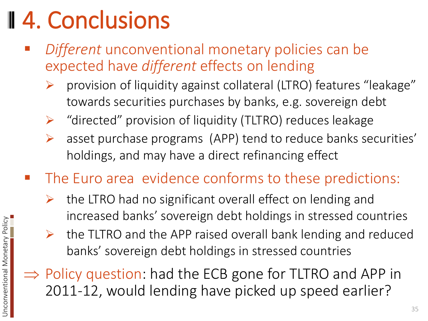# 4. Conclusions

- *Different* unconventional monetary policies can be expected have *different* effects on lending
	- provision of liquidity against collateral (LTRO) features "leakage" towards securities purchases by banks, e.g. sovereign debt
	- "directed" provision of liquidity (TLTRO) reduces leakage
	- asset purchase programs (APP) tend to reduce banks securities' holdings, and may have a direct refinancing effect
- The Euro area evidence conforms to these predictions:
	- the LTRO had no significant overall effect on lending and increased banks' sovereign debt holdings in stressed countries
	- $\triangleright$  the TLTRO and the APP raised overall bank lending and reduced banks' sovereign debt holdings in stressed countries
- ⇒ Policy question: had the ECB gone for TLTRO and APP in 2011-12, would lending have picked up speed earlier?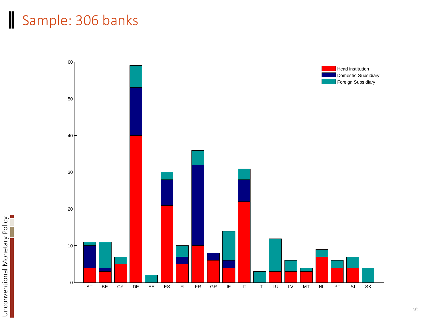### Sample: 306 banks

Unconventional Monetary Policy

Unconventional Monetary Policy

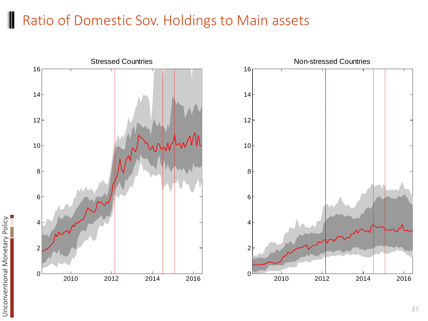#### Ratio of Domestic Sov. Holdings to Main assets

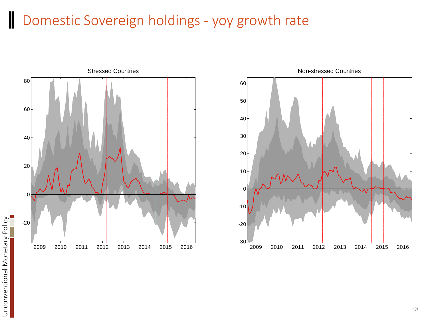### **Domestic Sovereign holdings - yoy growth rate**